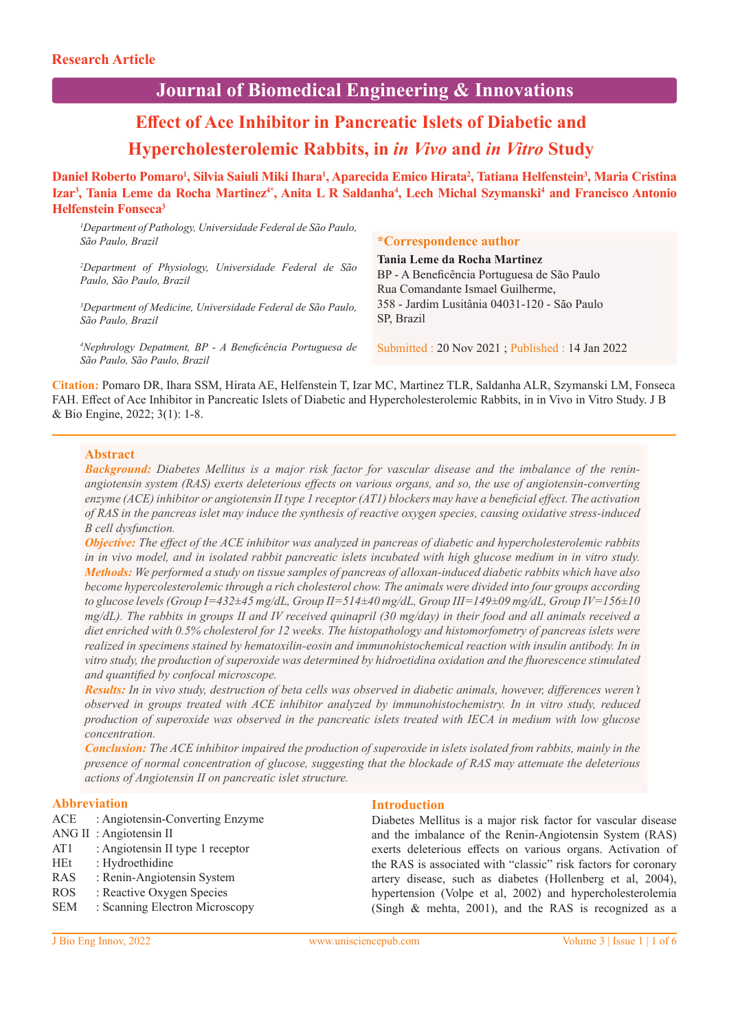## **Journal of Biomedical Engineering & Innovations**

# **Effect of Ace Inhibitor in Pancreatic Islets of Diabetic and Hypercholesterolemic Rabbits, in** *in Vivo* **and** *in Vitro* **Study**

**Daniel Roberto Pomaro<sup>1</sup> , Silvia Saiuli Miki Ihara<sup>1</sup> , Aparecida Emico Hirata<sup>2</sup> , Tatiana Helfenstein<sup>3</sup> , Maria Cristina Izar<sup>3</sup> , Tania Leme da Rocha Martinez4\*, Anita L R Saldanha<sup>4</sup> , Lech Michal Szymanski<sup>4</sup> and Francisco Antonio Helfenstein Fonseca<sup>3</sup>**

| <sup>1</sup> Department of Pathology, Universidade Federal de São Paulo,<br>São Paulo, Brazil        | <i>*Correspondence author</i>                                                                                   |
|------------------------------------------------------------------------------------------------------|-----------------------------------------------------------------------------------------------------------------|
| <sup>2</sup> Department of Physiology, Universidade Federal de São<br>Paulo, São Paulo, Brazil       | Tania Leme da Rocha Martinez<br>BP - A Beneficência Portuguesa de São Paulo<br>Rua Comandante Ismael Guilherme, |
| <sup>3</sup> Department of Medicine, Universidade Federal de São Paulo,<br>São Paulo, Brazil         | 358 - Jardim Lusitânia 04031-120 - São Paulo<br>SP, Brazil                                                      |
| <sup>4</sup> Nephrology Depatment, BP - A Beneficência Portuguesa de<br>São Paulo, São Paulo, Brazil | Submitted : 20 Nov 2021 ; Published : 14 Jan 2022                                                               |
|                                                                                                      |                                                                                                                 |

**Citation:** Pomaro DR, Ihara SSM, Hirata AE, Helfenstein T, Izar MC, Martinez TLR, Saldanha ALR, Szymanski LM, Fonseca FAH. Effect of Ace Inhibitor in Pancreatic Islets of Diabetic and Hypercholesterolemic Rabbits, in in Vivo in Vitro Study. J B & Bio Engine, 2022; 3(1): 1-8.

#### **Abstract**

*Background: Diabetes Mellitus is a major risk factor for vascular disease and the imbalance of the reninangiotensin system (RAS) exerts deleterious effects on various organs, and so, the use of angiotensin-converting enzyme (ACE) inhibitor or angiotensin II type 1 receptor (AT1) blockers may have a beneficial effect. The activation of RAS in the pancreas islet may induce the synthesis of reactive oxygen species, causing oxidative stress-induced B cell dysfunction.* 

*Objective: The effect of the ACE inhibitor was analyzed in pancreas of diabetic and hypercholesterolemic rabbits in in vivo model, and in isolated rabbit pancreatic islets incubated with high glucose medium in in vitro study. Methods: We performed a study on tissue samples of pancreas of alloxan-induced diabetic rabbits which have also become hypercolesterolemic through a rich cholesterol chow. The animals were divided into four groups according to glucose levels (Group I=432±45 mg/dL, Group II=514±40 mg/dL, Group III=149±09 mg/dL, Group IV=156±10 mg/dL). The rabbits in groups II and IV received quinapril (30 mg/day) in their food and all animals received a diet enriched with 0.5% cholesterol for 12 weeks. The histopathology and histomorfometry of pancreas islets were realized in specimens stained by hematoxilin-eosin and immunohistochemical reaction with insulin antibody. In in vitro study, the production of superoxide was determined by hidroetidina oxidation and the fluorescence stimulated and quantified by confocal microscope.* 

*Results: In in vivo study, destruction of beta cells was observed in diabetic animals, however, differences weren't observed in groups treated with ACE inhibitor analyzed by immunohistochemistry. In in vitro study, reduced production of superoxide was observed in the pancreatic islets treated with IECA in medium with low glucose concentration.* 

*Conclusion: The ACE inhibitor impaired the production of superoxide in islets isolated from rabbits, mainly in the presence of normal concentration of glucose, suggesting that the blockade of RAS may attenuate the deleterious actions of Angiotensin II on pancreatic islet structure.*

#### **Abbreviation**

- ACE : Angiotensin-Converting Enzyme
- ANG II : Angiotensin II
- AT1 : Angiotensin II type 1 receptor
- HEt : Hydroethidine
- RAS : Renin-Angiotensin System
- ROS : Reactive Oxygen Species
- SEM : Scanning Electron Microscopy

#### **Introduction**

Diabetes Mellitus is a major risk factor for vascular disease and the imbalance of the Renin-Angiotensin System (RAS) exerts deleterious effects on various organs. Activation of the RAS is associated with "classic" risk factors for coronary artery disease, such as diabetes (Hollenberg et al, 2004), hypertension (Volpe et al, 2002) and hypercholesterolemia (Singh & mehta, 2001), and the RAS is recognized as a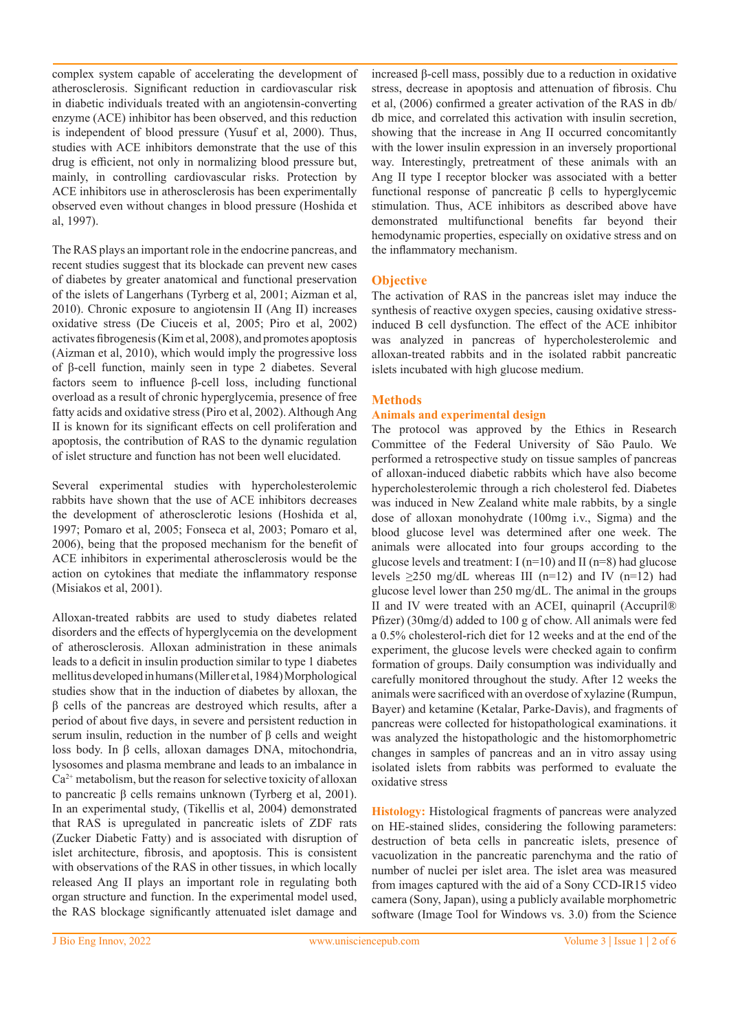complex system capable of accelerating the development of atherosclerosis. Significant reduction in cardiovascular risk in diabetic individuals treated with an angiotensin-converting enzyme (ACE) inhibitor has been observed, and this reduction is independent of blood pressure (Yusuf et al, 2000). Thus, studies with ACE inhibitors demonstrate that the use of this drug is efficient, not only in normalizing blood pressure but, mainly, in controlling cardiovascular risks. Protection by ACE inhibitors use in atherosclerosis has been experimentally observed even without changes in blood pressure (Hoshida et al, 1997).

The RAS plays an important role in the endocrine pancreas, and recent studies suggest that its blockade can prevent new cases of diabetes by greater anatomical and functional preservation of the islets of Langerhans (Tyrberg et al, 2001; Aizman et al, 2010). Chronic exposure to angiotensin II (Ang II) increases oxidative stress (De Ciuceis et al, 2005; Piro et al, 2002) activates fibrogenesis (Kim et al, 2008), and promotes apoptosis (Aizman et al, 2010), which would imply the progressive loss of β-cell function, mainly seen in type 2 diabetes. Several factors seem to influence β-cell loss, including functional overload as a result of chronic hyperglycemia, presence of free fatty acids and oxidative stress (Piro et al, 2002). Although Ang II is known for its significant effects on cell proliferation and apoptosis, the contribution of RAS to the dynamic regulation of islet structure and function has not been well elucidated.

Several experimental studies with hypercholesterolemic rabbits have shown that the use of ACE inhibitors decreases the development of atherosclerotic lesions (Hoshida et al, 1997; Pomaro et al, 2005; Fonseca et al, 2003; Pomaro et al, 2006), being that the proposed mechanism for the benefit of ACE inhibitors in experimental atherosclerosis would be the action on cytokines that mediate the inflammatory response (Misiakos et al, 2001).

Alloxan-treated rabbits are used to study diabetes related disorders and the effects of hyperglycemia on the development of atherosclerosis. Alloxan administration in these animals leads to a deficit in insulin production similar to type 1 diabetes mellitus developed in humans (Miller et al, 1984) Morphological studies show that in the induction of diabetes by alloxan, the β cells of the pancreas are destroyed which results, after a period of about five days, in severe and persistent reduction in serum insulin, reduction in the number of β cells and weight loss body. In β cells, alloxan damages DNA, mitochondria, lysosomes and plasma membrane and leads to an imbalance in  $Ca<sup>2+</sup>$  metabolism, but the reason for selective toxicity of alloxan to pancreatic β cells remains unknown (Tyrberg et al, 2001). In an experimental study, (Tikellis et al, 2004) demonstrated that RAS is upregulated in pancreatic islets of ZDF rats (Zucker Diabetic Fatty) and is associated with disruption of islet architecture, fibrosis, and apoptosis. This is consistent with observations of the RAS in other tissues, in which locally released Ang II plays an important role in regulating both organ structure and function. In the experimental model used, the RAS blockage significantly attenuated islet damage and

increased β-cell mass, possibly due to a reduction in oxidative stress, decrease in apoptosis and attenuation of fibrosis. Chu et al, (2006) confirmed a greater activation of the RAS in db/ db mice, and correlated this activation with insulin secretion, showing that the increase in Ang II occurred concomitantly with the lower insulin expression in an inversely proportional way. Interestingly, pretreatment of these animals with an Ang II type I receptor blocker was associated with a better functional response of pancreatic β cells to hyperglycemic stimulation. Thus, ACE inhibitors as described above have demonstrated multifunctional benefits far beyond their hemodynamic properties, especially on oxidative stress and on the inflammatory mechanism.

## **Objective**

The activation of RAS in the pancreas islet may induce the synthesis of reactive oxygen species, causing oxidative stressinduced B cell dysfunction. The effect of the ACE inhibitor was analyzed in pancreas of hypercholesterolemic and alloxan-treated rabbits and in the isolated rabbit pancreatic islets incubated with high glucose medium.

## **Methods**

### **Animals and experimental design**

The protocol was approved by the Ethics in Research Committee of the Federal University of São Paulo. We performed a retrospective study on tissue samples of pancreas of alloxan-induced diabetic rabbits which have also become hypercholesterolemic through a rich cholesterol fed. Diabetes was induced in New Zealand white male rabbits, by a single dose of alloxan monohydrate (100mg i.v., Sigma) and the blood glucose level was determined after one week. The animals were allocated into four groups according to the glucose levels and treatment:  $I(n=10)$  and  $II(n=8)$  had glucose levels  $\geq$ 250 mg/dL whereas III (n=12) and IV (n=12) had glucose level lower than 250 mg/dL. The animal in the groups II and IV were treated with an ACEI, quinapril (Accupril® Pfizer) (30mg/d) added to 100 g of chow. All animals were fed a 0.5% cholesterol-rich diet for 12 weeks and at the end of the experiment, the glucose levels were checked again to confirm formation of groups. Daily consumption was individually and carefully monitored throughout the study. After 12 weeks the animals were sacrificed with an overdose of xylazine (Rumpun, Bayer) and ketamine (Ketalar, Parke-Davis), and fragments of pancreas were collected for histopathological examinations. it was analyzed the histopathologic and the histomorphometric changes in samples of pancreas and an in vitro assay using isolated islets from rabbits was performed to evaluate the oxidative stress

**Histology:** Histological fragments of pancreas were analyzed on HE-stained slides, considering the following parameters: destruction of beta cells in pancreatic islets, presence of vacuolization in the pancreatic parenchyma and the ratio of number of nuclei per islet area. The islet area was measured from images captured with the aid of a Sony CCD-IR15 video camera (Sony, Japan), using a publicly available morphometric software (Image Tool for Windows vs. 3.0) from the Science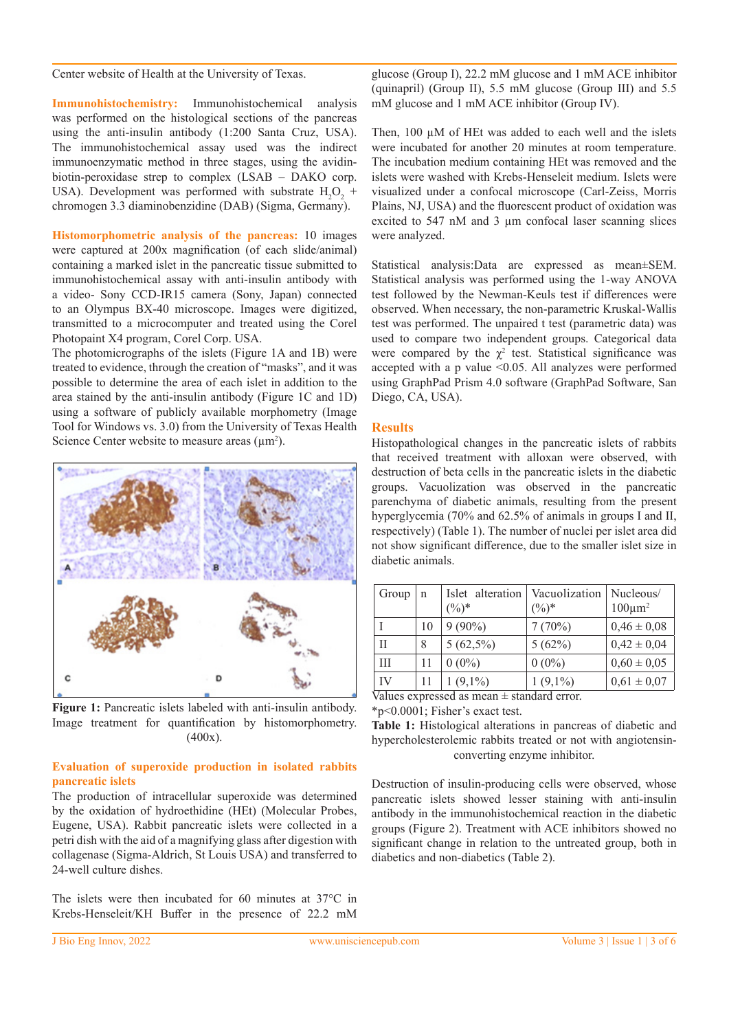#### Center website of Health at the University of Texas.

**Immunohistochemistry:** Immunohistochemical analysis was performed on the histological sections of the pancreas using the anti-insulin antibody (1:200 Santa Cruz, USA). The immunohistochemical assay used was the indirect immunoenzymatic method in three stages, using the avidinbiotin-peroxidase strep to complex (LSAB – DAKO corp. USA). Development was performed with substrate  $H_2O_2$  + chromogen 3.3 diaminobenzidine (DAB) (Sigma, Germany).

**Histomorphometric analysis of the pancreas:** 10 images were captured at 200x magnification (of each slide/animal) containing a marked islet in the pancreatic tissue submitted to immunohistochemical assay with anti-insulin antibody with a video- Sony CCD-IR15 camera (Sony, Japan) connected to an Olympus BX-40 microscope. Images were digitized, transmitted to a microcomputer and treated using the Corel Photopaint X4 program, Corel Corp. USA.

The photomicrographs of the islets (Figure 1A and 1B) were treated to evidence, through the creation of "masks", and it was possible to determine the area of each islet in addition to the area stained by the anti-insulin antibody (Figure 1C and 1D) using a software of publicly available morphometry (Image Tool for Windows vs. 3.0) from the University of Texas Health Science Center website to measure areas  $(\mu m^2)$ .



**Figure 1:** Pancreatic islets labeled with anti-insulin antibody. Image treatment for quantification by histomorphometry. (400x).

#### **Evaluation of superoxide production in isolated rabbits pancreatic islets**

The production of intracellular superoxide was determined by the oxidation of hydroethidine (HEt) (Molecular Probes, Eugene, USA). Rabbit pancreatic islets were collected in a petri dish with the aid of a magnifying glass after digestion with collagenase (Sigma-Aldrich, St Louis USA) and transferred to 24-well culture dishes.

The islets were then incubated for 60 minutes at 37°C in Krebs-Henseleit/KH Buffer in the presence of 22.2 mM glucose (Group I), 22.2 mM glucose and 1 mM ACE inhibitor (quinapril) (Group II), 5.5 mM glucose (Group III) and 5.5 mM glucose and 1 mM ACE inhibitor (Group IV).

Then,  $100 \mu M$  of HEt was added to each well and the islets were incubated for another 20 minutes at room temperature. The incubation medium containing HEt was removed and the islets were washed with Krebs-Henseleit medium. Islets were visualized under a confocal microscope (Carl-Zeiss, Morris Plains, NJ, USA) and the fluorescent product of oxidation was excited to 547 nM and 3  $\mu$ m confocal laser scanning slices were analyzed.

Statistical analysis:Data are expressed as mean±SEM. Statistical analysis was performed using the 1-way ANOVA test followed by the Newman-Keuls test if differences were observed. When necessary, the non-parametric Kruskal-Wallis test was performed. The unpaired t test (parametric data) was used to compare two independent groups. Categorical data were compared by the  $\chi^2$  test. Statistical significance was accepted with a p value <0.05. All analyzes were performed using GraphPad Prism 4.0 software (GraphPad Software, San Diego, CA, USA).

#### **Results**

Histopathological changes in the pancreatic islets of rabbits that received treatment with alloxan were observed, with destruction of beta cells in the pancreatic islets in the diabetic groups. Vacuolization was observed in the pancreatic parenchyma of diabetic animals, resulting from the present hyperglycemia (70% and 62.5% of animals in groups I and II, respectively) (Table 1). The number of nuclei per islet area did not show significant difference, due to the smaller islet size in diabetic animals.

| Group             | $\mathbf n$ | Islet alteration<br>$(\%)^*$ | Vacuolization<br>$(\%)^*$ | Nucleous/<br>$100 \mu m^2$ |
|-------------------|-------------|------------------------------|---------------------------|----------------------------|
|                   | 10          | $9(90\%)$                    | 7(70%)                    | $0,46 \pm 0,08$            |
| П                 | 8           | $5(62,5\%)$                  | 5(62%)                    | $0,42 \pm 0,04$            |
| III               | 11          | $0(0\%)$                     | $0(0\%)$                  | $0,60 \pm 0,05$            |
| IV<br>$T$ $T$ $T$ | 11          | $1(9,1\%)$                   | $1(9,1\%)$                | $0,61 \pm 0,07$            |

Values expressed as mean ± standard error.

\*p<0.0001; Fisher's exact test.

**Table 1:** Histological alterations in pancreas of diabetic and hypercholesterolemic rabbits treated or not with angiotensinconverting enzyme inhibitor.

Destruction of insulin-producing cells were observed, whose pancreatic islets showed lesser staining with anti-insulin antibody in the immunohistochemical reaction in the diabetic groups (Figure 2). Treatment with ACE inhibitors showed no significant change in relation to the untreated group, both in diabetics and non-diabetics (Table 2).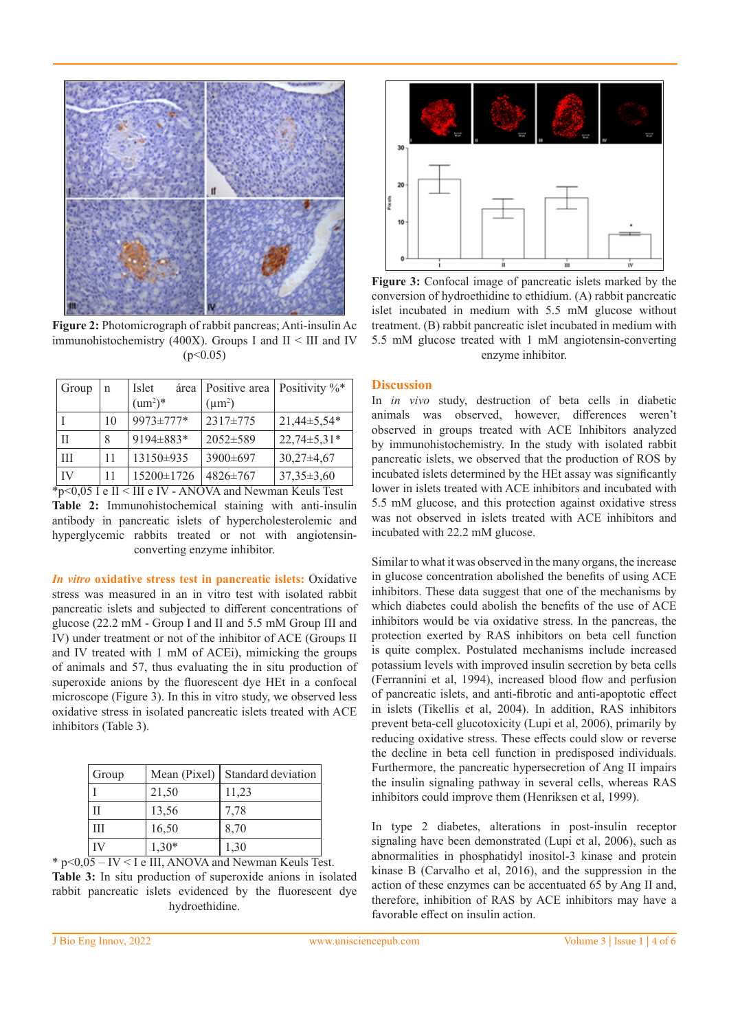

**Figure 2:** Photomicrograph of rabbit pancreas; Anti-insulin Ac immunohistochemistry (400X). Groups I and II < III and IV  $(p<0.05)$ 

| Group | n  | Islet<br>área<br>$\text{(um}^2)^*$ | Positive area   Positivity $\%^*$<br>$(\mu m^2)$ |                  |
|-------|----|------------------------------------|--------------------------------------------------|------------------|
|       | 10 | 9973±777*                          | 2317±775                                         | 21,44±5,54*      |
| Н     | 8  | 9194±883*                          | 2052±589                                         | $22,74\pm5,31*$  |
| Ш     | 11 | 13150±935                          | 3900±697                                         | $30,27 \pm 4,67$ |
| IV    | 11 | 15200±1726                         | $4826 \pm 767$                                   | $37,35 \pm 3,60$ |

\*p<0,05 I e II < III e IV - ANOVA and Newman Keuls Test **Table 2:** Immunohistochemical staining with anti-insulin antibody in pancreatic islets of hypercholesterolemic and hyperglycemic rabbits treated or not with angiotensinconverting enzyme inhibitor.

*In vitro* **oxidative stress test in pancreatic islets:** Oxidative stress was measured in an in vitro test with isolated rabbit pancreatic islets and subjected to different concentrations of glucose (22.2 mM - Group I and II and 5.5 mM Group III and IV) under treatment or not of the inhibitor of ACE (Groups II and IV treated with 1 mM of ACEi), mimicking the groups of animals and 57, thus evaluating the in situ production of superoxide anions by the fluorescent dye HEt in a confocal microscope (Figure 3). In this in vitro study, we observed less oxidative stress in isolated pancreatic islets treated with ACE inhibitors (Table 3).

| Group |         | Mean (Pixel) Standard deviation |
|-------|---------|---------------------------------|
|       | 21,50   | 11,23                           |
| H     | 13,56   | 7,78                            |
| Ш     | 16,50   | 8,70                            |
| ΓV    | $1,30*$ | 1,30                            |

 $*$  p<0,05 – IV < I e III, ANOVA and Newman Keuls Test. **Table 3:** In situ production of superoxide anions in isolated rabbit pancreatic islets evidenced by the fluorescent dye hydroethidine.



**Figure 3:** Confocal image of pancreatic islets marked by the conversion of hydroethidine to ethidium. (A) rabbit pancreatic islet incubated in medium with 5.5 mM glucose without treatment. (B) rabbit pancreatic islet incubated in medium with 5.5 mM glucose treated with 1 mM angiotensin-converting enzyme inhibitor.

#### **Discussion**

In *in vivo* study, destruction of beta cells in diabetic animals was observed, however, differences weren't observed in groups treated with ACE Inhibitors analyzed by immunohistochemistry. In the study with isolated rabbit pancreatic islets, we observed that the production of ROS by incubated islets determined by the HEt assay was significantly lower in islets treated with ACE inhibitors and incubated with 5.5 mM glucose, and this protection against oxidative stress was not observed in islets treated with ACE inhibitors and incubated with 22.2 mM glucose.

Similar to what it was observed in the many organs, the increase in glucose concentration abolished the benefits of using ACE inhibitors. These data suggest that one of the mechanisms by which diabetes could abolish the benefits of the use of ACE inhibitors would be via oxidative stress. In the pancreas, the protection exerted by RAS inhibitors on beta cell function is quite complex. Postulated mechanisms include increased potassium levels with improved insulin secretion by beta cells (Ferrannini et al, 1994), increased blood flow and perfusion of pancreatic islets, and anti-fibrotic and anti-apoptotic effect in islets (Tikellis et al, 2004). In addition, RAS inhibitors prevent beta-cell glucotoxicity (Lupi et al, 2006), primarily by reducing oxidative stress. These effects could slow or reverse the decline in beta cell function in predisposed individuals. Furthermore, the pancreatic hypersecretion of Ang II impairs the insulin signaling pathway in several cells, whereas RAS inhibitors could improve them (Henriksen et al, 1999).

In type 2 diabetes, alterations in post-insulin receptor signaling have been demonstrated (Lupi et al, 2006), such as abnormalities in phosphatidyl inositol-3 kinase and protein kinase B (Carvalho et al, 2016), and the suppression in the action of these enzymes can be accentuated 65 by Ang II and, therefore, inhibition of RAS by ACE inhibitors may have a favorable effect on insulin action.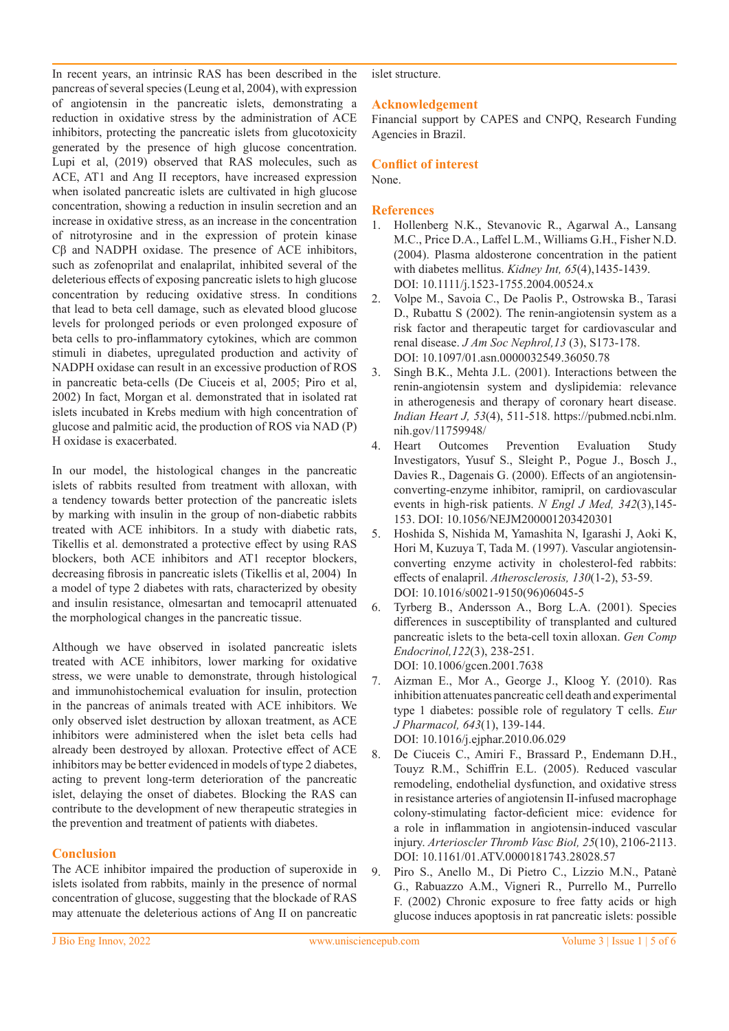In recent years, an intrinsic RAS has been described in the pancreas of several species (Leung et al, 2004), with expression of angiotensin in the pancreatic islets, demonstrating a reduction in oxidative stress by the administration of ACE inhibitors, protecting the pancreatic islets from glucotoxicity generated by the presence of high glucose concentration. Lupi et al, (2019) observed that RAS molecules, such as ACE, AT1 and Ang II receptors, have increased expression when isolated pancreatic islets are cultivated in high glucose concentration, showing a reduction in insulin secretion and an increase in oxidative stress, as an increase in the concentration of nitrotyrosine and in the expression of protein kinase Cβ and NADPH oxidase. The presence of ACE inhibitors, such as zofenoprilat and enalaprilat, inhibited several of the deleterious effects of exposing pancreatic islets to high glucose concentration by reducing oxidative stress. In conditions that lead to beta cell damage, such as elevated blood glucose levels for prolonged periods or even prolonged exposure of beta cells to pro-inflammatory cytokines, which are common stimuli in diabetes, upregulated production and activity of NADPH oxidase can result in an excessive production of ROS in pancreatic beta-cells (De Ciuceis et al, 2005; Piro et al, 2002) In fact, Morgan et al. demonstrated that in isolated rat islets incubated in Krebs medium with high concentration of glucose and palmitic acid, the production of ROS via NAD (P) H oxidase is exacerbated.

In our model, the histological changes in the pancreatic islets of rabbits resulted from treatment with alloxan, with a tendency towards better protection of the pancreatic islets by marking with insulin in the group of non-diabetic rabbits treated with ACE inhibitors. In a study with diabetic rats, Tikellis et al. demonstrated a protective effect by using RAS blockers, both ACE inhibitors and AT1 receptor blockers, decreasing fibrosis in pancreatic islets (Tikellis et al, 2004) In a model of type 2 diabetes with rats, characterized by obesity and insulin resistance, olmesartan and temocapril attenuated the morphological changes in the pancreatic tissue.

Although we have observed in isolated pancreatic islets treated with ACE inhibitors, lower marking for oxidative stress, we were unable to demonstrate, through histological and immunohistochemical evaluation for insulin, protection in the pancreas of animals treated with ACE inhibitors. We only observed islet destruction by alloxan treatment, as ACE inhibitors were administered when the islet beta cells had already been destroyed by alloxan. Protective effect of ACE inhibitors may be better evidenced in models of type 2 diabetes, acting to prevent long-term deterioration of the pancreatic islet, delaying the onset of diabetes. Blocking the RAS can contribute to the development of new therapeutic strategies in the prevention and treatment of patients with diabetes.

## **Conclusion**

The ACE inhibitor impaired the production of superoxide in islets isolated from rabbits, mainly in the presence of normal concentration of glucose, suggesting that the blockade of RAS may attenuate the deleterious actions of Ang II on pancreatic islet structure.

## **Acknowledgement**

Financial support by CAPES and CNPQ, Research Funding Agencies in Brazil.

## **Conflict of interest**

None.

#### **References**

- 1. Hollenberg N.K., Stevanovic R., Agarwal A., Lansang M.C., Price D.A., Laffel L.M., Williams G.H., Fisher N.D. (2004). Plasma aldosterone concentration in the patient with diabetes mellitus. *Kidney Int, 65*(4),1435-1439. DOI: 10.1111/j.1523-1755.2004.00524.x
- 2. Volpe M., Savoia C., De Paolis P., Ostrowska B., Tarasi D., Rubattu S (2002). The renin-angiotensin system as a risk factor and therapeutic target for cardiovascular and renal disease. *J Am Soc Nephrol,13* (3), S173-178. DOI: 10.1097/01.asn.0000032549.36050.78
- 3. Singh B.K., Mehta J.L. (2001). Interactions between the renin-angiotensin system and dyslipidemia: relevance in atherogenesis and therapy of coronary heart disease. *Indian Heart J, 53*(4), 511-518. https://pubmed.ncbi.nlm. nih.gov/11759948/
- 4. Heart Outcomes Prevention Evaluation Study Investigators, Yusuf S., Sleight P., Pogue J., Bosch J., Davies R., Dagenais G. (2000). Effects of an angiotensinconverting-enzyme inhibitor, ramipril, on cardiovascular events in high-risk patients. *N Engl J Med, 342*(3),145- 153. DOI: 10.1056/NEJM200001203420301
- 5. Hoshida S, Nishida M, Yamashita N, Igarashi J, Aoki K, Hori M, Kuzuya T, Tada M. (1997). Vascular angiotensinconverting enzyme activity in cholesterol-fed rabbits: effects of enalapril. *Atherosclerosis, 130*(1-2), 53-59. DOI: 10.1016/s0021-9150(96)06045-5
- 6. Tyrberg B., Andersson A., Borg L.A. (2001). Species differences in susceptibility of transplanted and cultured pancreatic islets to the beta-cell toxin alloxan. *Gen Comp Endocrinol,122*(3), 238-251. DOI: 10.1006/gcen.2001.7638
- 7. Aizman E., Mor A., George J., Kloog Y. (2010). Ras inhibition attenuates pancreatic cell death and experimental type 1 diabetes: possible role of regulatory T cells. *Eur J Pharmacol, 643*(1), 139-144. DOI: 10.1016/j.ejphar.2010.06.029
- 8. De Ciuceis C., Amiri F., Brassard P., Endemann D.H., Touyz R.M., Schiffrin E.L. (2005). Reduced vascular remodeling, endothelial dysfunction, and oxidative stress in resistance arteries of angiotensin II-infused macrophage colony-stimulating factor-deficient mice: evidence for a role in inflammation in angiotensin-induced vascular injury. *Arterioscler Thromb Vasc Biol, 25*(10), 2106-2113. DOI: 10.1161/01.ATV.0000181743.28028.57
- 9. Piro S., Anello M., Di Pietro C., Lizzio M.N., Patanè G., Rabuazzo A.M., Vigneri R., Purrello M., Purrello F. (2002) Chronic exposure to free fatty acids or high glucose induces apoptosis in rat pancreatic islets: possible